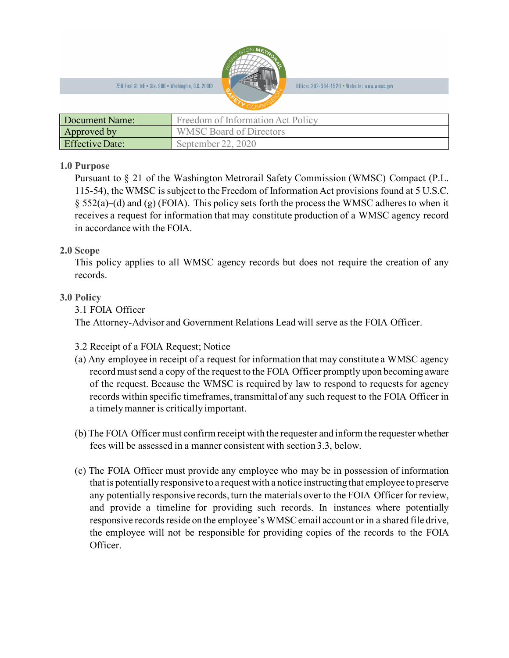

Office: 202-384-1520 • Website: www.wmsc.gov

| Document Name:         | Freedom of Information Act Policy |
|------------------------|-----------------------------------|
| Approved by            | <b>WMSC Board of Directors</b>    |
| <b>Effective Date:</b> | September 22, 2020                |

## **1.0 Purpose**

Pursuant to § 21 of the Washington Metrorail Safety Commission (WMSC) Compact (P.L. 115-54), the WMSC is subject to the Freedom of Information Act provisions found at 5 U.S.C.  $\S$  552(a)–(d) and (g) (FOIA). This policy sets forth the process the WMSC adheres to when it receives a request for information that may constitute production of a WMSC agency record in accordance with the FOIA.

# **2.0 Scope**

This policy applies to all WMSC agency records but does not require the creation of any records.

# **3.0 Policy**

3.1 FOIA Officer

The Attorney-Advisor and Government Relations Lead will serve as the FOIA Officer.

- 3.2 Receipt of a FOIA Request; Notice
- (a) Any employee in receipt of a request for information that may constitute a WMSC agency record must send a copy of the request to the FOIA Officer promptly upon becoming aware of the request. Because the WMSC is required by law to respond to requests for agency records within specific timeframes, transmittal of any such request to the FOIA Officer in a timely manner is critically important.
- (b) The FOIA Officer must confirm receipt with the requester and inform the requester whether fees will be assessed in a manner consistent with section 3.3, below.
- (c) The FOIA Officer must provide any employee who may be in possession of information that is potentially responsive to a request with a notice instructing that employee to preserve any potentially responsive records, turn the materials over to the FOIA Officer for review, and provide a timeline for providing such records. In instances where potentially responsive records reside on the employee's WMSC email account or in a shared file drive, the employee will not be responsible for providing copies of the records to the FOIA Officer.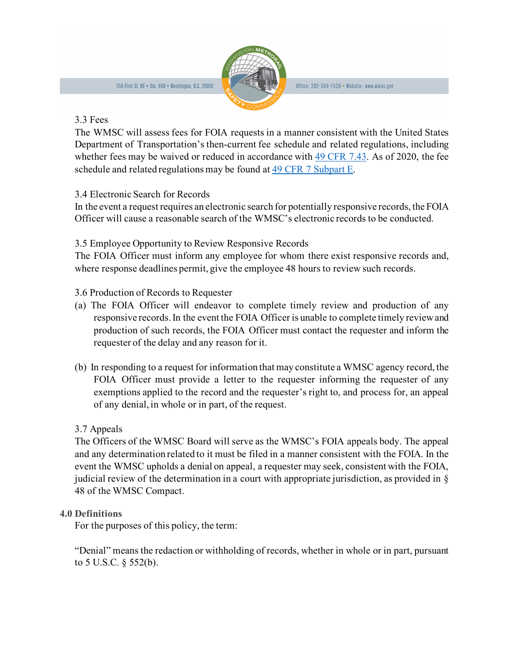

Office: 202-384-1520 • Website: www.wmsc.gov

#### 3.3 Fees

The WMSC will assess fees for FOIA requests in a manner consistent with the United States Department of Transportation's then-current fee schedule and related regulations, including whether fees may be waived or reduced in accordance with  $\frac{49 \text{ CFR } 7.43}{49.6 \text{ K}}$ . As of 2020, the fee schedule and related regulations may be found at [49 CFR 7 Subpart E.](https://www.law.cornell.edu/cfr/text/49/part-7/subpart-E)

### 3.4 Electronic Search for Records

In the event a request requires an electronic search for potentially responsive records, the FOIA Officer will cause a reasonable search of the WMSC's electronic records to be conducted.

## 3.5 Employee Opportunity to Review Responsive Records

The FOIA Officer must inform any employee for whom there exist responsive records and, where response deadlines permit, give the employee 48 hours to review such records.

### 3.6 Production of Records to Requester

- (a) The FOIA Officer will endeavor to complete timely review and production of any responsive records. In the event the FOIA Officer is unable to complete timely review and production of such records, the FOIA Officer must contact the requester and inform the requester of the delay and any reason for it.
- (b) In responding to a request for information that may constitute a WMSC agency record, the FOIA Officer must provide a letter to the requester informing the requester of any exemptions applied to the record and the requester's right to, and process for, an appeal of any denial, in whole or in part, of the request.

### 3.7 Appeals

The Officers of the WMSC Board will serve as the WMSC's FOIA appeals body. The appeal and any determination related to it must be filed in a manner consistent with the FOIA. In the event the WMSC upholds a denial on appeal, a requester may seek, consistent with the FOIA, judicial review of the determination in a court with appropriate jurisdiction, as provided in § 48 of the WMSC Compact.

### **4.0 Definitions**

For the purposes of this policy, the term:

"Denial" means the redaction or withholding of records, whether in whole or in part, pursuant to 5 U.S.C. § 552(b).